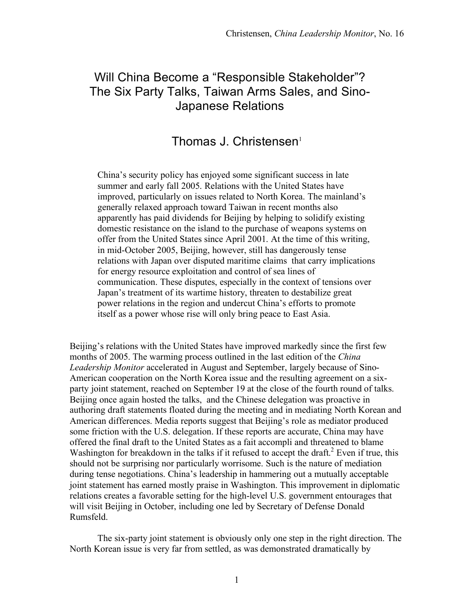## Will China Become a "Responsible Stakeholder"? The Six Party Talks, Taiwan Arms Sales, and Sino-Japanese Relations

# Thomas J. Christensen $1$

China's security policy has enjoyed some significant success in late summer and early fall 2005. Relations with the United States have improved, particularly on issues related to North Korea. The mainland's generally relaxed approach toward Taiwan in recent months also apparently has paid dividends for Beijing by helping to solidify existing domestic resistance on the island to the purchase of weapons systems on offer from the United States since April 2001. At the time of this writing, in mid-October 2005, Beijing, however, still has dangerously tense relations with Japan over disputed maritime claims that carry implications for energy resource exploitation and control of sea lines of communication. These disputes, especially in the context of tensions over Japan's treatment of its wartime history, threaten to destabilize great power relations in the region and undercut China's efforts to promote itself as a power whose rise will only bring peace to East Asia.

Beijing's relations with the United States have improved markedly since the first few months of 2005. The warming process outlined in the last edition of the *China Leadership Monitor* accelerated in August and September, largely because of Sino-American cooperation on the North Korea issue and the resulting agreement on a sixparty joint statement, reached on September 19 at the close of the fourth round of talks. Beijing once again hosted the talks, and the Chinese delegation was proactive in authoring draft statements floated during the meeting and in mediating North Korean and American differences. Media reports suggest that Beijing's role as mediator produced some friction with the U.S. delegation. If these reports are accurate, China may have offered the final draft to the United States as a fait accompli and threatened to blame Washington for breakdown in the talks if it refused to accept the draft.<sup>2</sup> Even if true, this should not be surprising nor particularly worrisome. Such is the nature of mediation during tense negotiations. China's leadership in hammering out a mutually acceptable joint statement has earned mostly praise in Washington. This improvement in diplomatic relations creates a favorable setting for the high-level U.S. government entourages that will visit Beijing in October, including one led by Secretary of Defense Donald Rumsfeld.

The six-party joint statement is obviously only one step in the right direction. The North Korean issue is very far from settled, as was demonstrated dramatically by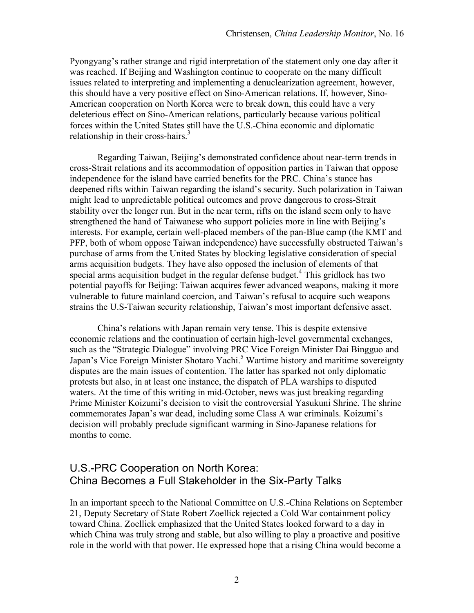Pyongyang's rather strange and rigid interpretation of the statement only one day after it was reached. If Beijing and Washington continue to cooperate on the many difficult issues related to interpreting and implementing a denuclearization agreement, however, this should have a very positive effect on Sino-American relations. If, however, Sino-American cooperation on North Korea were to break down, this could have a very deleterious effect on Sino-American relations, particularly because various political forces within the United States still have the U.S.-China economic and diplomatic relationship in their cross-hairs.<sup>3</sup>

Regarding Taiwan, Beijing's demonstrated confidence about near-term trends in cross-Strait relations and its accommodation of opposition parties in Taiwan that oppose independence for the island have carried benefits for the PRC. China's stance has deepened rifts within Taiwan regarding the island's security. Such polarization in Taiwan might lead to unpredictable political outcomes and prove dangerous to cross-Strait stability over the longer run. But in the near term, rifts on the island seem only to have strengthened the hand of Taiwanese who support policies more in line with Beijing's interests. For example, certain well-placed members of the pan-Blue camp (the KMT and PFP, both of whom oppose Taiwan independence) have successfully obstructed Taiwan's purchase of arms from the United States by blocking legislative consideration of special arms acquisition budgets. They have also opposed the inclusion of elements of that special arms acquisition budget in the regular defense budget.<sup>4</sup> This gridlock has two potential payoffs for Beijing: Taiwan acquires fewer advanced weapons, making it more vulnerable to future mainland coercion, and Taiwan's refusal to acquire such weapons strains the U.S-Taiwan security relationship, Taiwan's most important defensive asset.

China's relations with Japan remain very tense. This is despite extensive economic relations and the continuation of certain high-level governmental exchanges, such as the "Strategic Dialogue" involving PRC Vice Foreign Minister Dai Bingguo and Japan's Vice Foreign Minister Shotaro Yachi.<sup>5</sup> Wartime history and maritime sovereignty disputes are the main issues of contention. The latter has sparked not only diplomatic protests but also, in at least one instance, the dispatch of PLA warships to disputed waters. At the time of this writing in mid-October, news was just breaking regarding Prime Minister Koizumi's decision to visit the controversial Yasukuni Shrine. The shrine commemorates Japan's war dead, including some Class A war criminals. Koizumi's decision will probably preclude significant warming in Sino-Japanese relations for months to come.

### U.S.-PRC Cooperation on North Korea: China Becomes a Full Stakeholder in the Six-Party Talks

In an important speech to the National Committee on U.S.-China Relations on September 21, Deputy Secretary of State Robert Zoellick rejected a Cold War containment policy toward China. Zoellick emphasized that the United States looked forward to a day in which China was truly strong and stable, but also willing to play a proactive and positive role in the world with that power. He expressed hope that a rising China would become a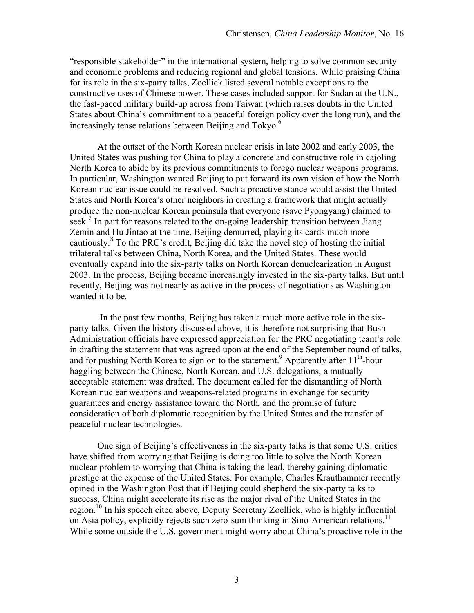"responsible stakeholder" in the international system, helping to solve common security and economic problems and reducing regional and global tensions. While praising China for its role in the six-party talks, Zoellick listed several notable exceptions to the constructive uses of Chinese power. These cases included support for Sudan at the U.N., the fast-paced military build-up across from Taiwan (which raises doubts in the United States about China's commitment to a peaceful foreign policy over the long run), and the increasingly tense relations between Beijing and Tokyo.<sup>6</sup>

At the outset of the North Korean nuclear crisis in late 2002 and early 2003, the United States was pushing for China to play a concrete and constructive role in cajoling North Korea to abide by its previous commitments to forego nuclear weapons programs. In particular, Washington wanted Beijing to put forward its own vision of how the North Korean nuclear issue could be resolved. Such a proactive stance would assist the United States and North Korea's other neighbors in creating a framework that might actually produce the non-nuclear Korean peninsula that everyone (save Pyongyang) claimed to seek.<sup>7</sup> In part for reasons related to the on-going leadership transition between Jiang Zemin and Hu Jintao at the time, Beijing demurred, playing its cards much more cautiously. <sup>8</sup> To the PRC's credit, Beijing did take the novel step of hosting the initial trilateral talks between China, North Korea, and the United States. These would eventually expand into the six-party talks on North Korean denuclearization in August 2003. In the process, Beijing became increasingly invested in the six-party talks. But until recently, Beijing was not nearly as active in the process of negotiations as Washington wanted it to be.

In the past few months, Beijing has taken a much more active role in the sixparty talks. Given the history discussed above, it is therefore not surprising that Bush Administration officials have expressed appreciation for the PRC negotiating team's role in drafting the statement that was agreed upon at the end of the September round of talks, and for pushing North Korea to sign on to the statement.<sup>9</sup> Apparently after 11<sup>th</sup>-hour haggling between the Chinese, North Korean, and U.S. delegations, a mutually acceptable statement was drafted. The document called for the dismantling of North Korean nuclear weapons and weapons-related programs in exchange for security guarantees and energy assistance toward the North, and the promise of future consideration of both diplomatic recognition by the United States and the transfer of peaceful nuclear technologies.

One sign of Beijing's effectiveness in the six-party talks is that some U.S. critics have shifted from worrying that Beijing is doing too little to solve the North Korean nuclear problem to worrying that China is taking the lead, thereby gaining diplomatic prestige at the expense of the United States. For example, Charles Krauthammer recently opined in the Washington Post that if Beijing could shepherd the six-party talks to success, China might accelerate its rise as the major rival of the United States in the region.10 In his speech cited above, Deputy Secretary Zoellick, who is highly influential on Asia policy, explicitly rejects such zero-sum thinking in Sino-American relations.<sup>11</sup> While some outside the U.S. government might worry about China's proactive role in the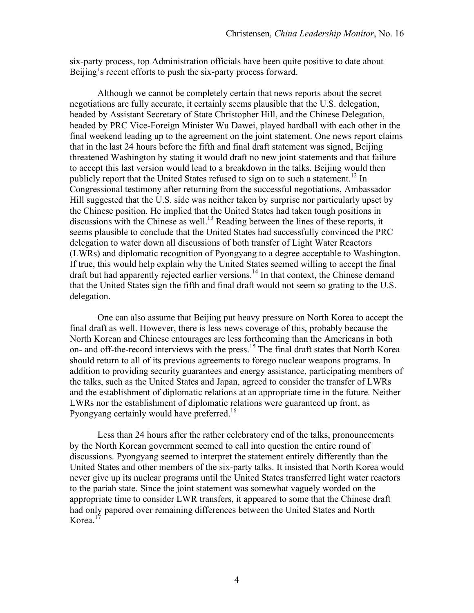six-party process, top Administration officials have been quite positive to date about Beijing's recent efforts to push the six-party process forward.

Although we cannot be completely certain that news reports about the secret negotiations are fully accurate, it certainly seems plausible that the U.S. delegation, headed by Assistant Secretary of State Christopher Hill, and the Chinese Delegation, headed by PRC Vice-Foreign Minister Wu Dawei, played hardball with each other in the final weekend leading up to the agreement on the joint statement. One news report claims that in the last 24 hours before the fifth and final draft statement was signed, Beijing threatened Washington by stating it would draft no new joint statements and that failure to accept this last version would lead to a breakdown in the talks. Beijing would then publicly report that the United States refused to sign on to such a statement.<sup>12</sup> In Congressional testimony after returning from the successful negotiations, Ambassador Hill suggested that the U.S. side was neither taken by surprise nor particularly upset by the Chinese position. He implied that the United States had taken tough positions in discussions with the Chinese as well. <sup>13</sup> Reading between the lines of these reports, it seems plausible to conclude that the United States had successfully convinced the PRC delegation to water down all discussions of both transfer of Light Water Reactors (LWRs) and diplomatic recognition of Pyongyang to a degree acceptable to Washington. If true, this would help explain why the United States seemed willing to accept the final draft but had apparently rejected earlier versions. <sup>14</sup> In that context, the Chinese demand that the United States sign the fifth and final draft would not seem so grating to the U.S. delegation.

One can also assume that Beijing put heavy pressure on North Korea to accept the final draft as well. However, there is less news coverage of this, probably because the North Korean and Chinese entourages are less forthcoming than the Americans in both on- and off-the-record interviews with the press.<sup>15</sup> The final draft states that North Korea should return to all of its previous agreements to forego nuclear weapons programs. In addition to providing security guarantees and energy assistance, participating members of the talks, such as the United States and Japan, agreed to consider the transfer of LWRs and the establishment of diplomatic relations at an appropriate time in the future. Neither LWRs nor the establishment of diplomatic relations were guaranteed up front, as Pyongyang certainly would have preferred.<sup>16</sup>

Less than 24 hours after the rather celebratory end of the talks, pronouncements by the North Korean government seemed to call into question the entire round of discussions. Pyongyang seemed to interpret the statement entirely differently than the United States and other members of the six-party talks. It insisted that North Korea would never give up its nuclear programs until the United States transferred light water reactors to the pariah state. Since the joint statement was somewhat vaguely worded on the appropriate time to consider LWR transfers, it appeared to some that the Chinese draft had only papered over remaining differences between the United States and North Korea.<sup>17</sup>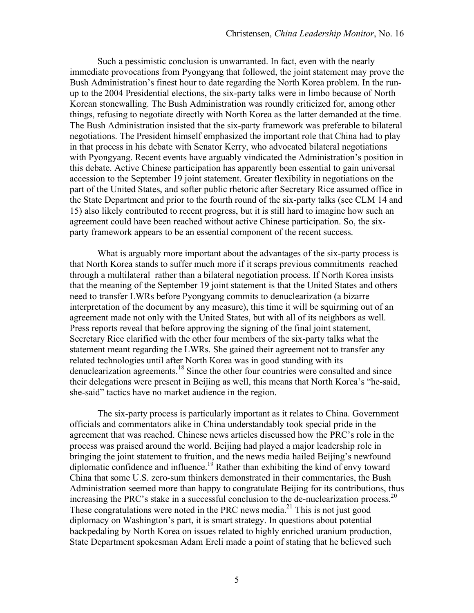Such a pessimistic conclusion is unwarranted. In fact, even with the nearly immediate provocations from Pyongyang that followed, the joint statement may prove the Bush Administration's finest hour to date regarding the North Korea problem. In the runup to the 2004 Presidential elections, the six-party talks were in limbo because of North Korean stonewalling. The Bush Administration was roundly criticized for, among other things, refusing to negotiate directly with North Korea as the latter demanded at the time. The Bush Administration insisted that the six-party framework was preferable to bilateral negotiations. The President himself emphasized the important role that China had to play in that process in his debate with Senator Kerry, who advocated bilateral negotiations with Pyongyang. Recent events have arguably vindicated the Administration's position in this debate. Active Chinese participation has apparently been essential to gain universal accession to the September 19 joint statement. Greater flexibility in negotiations on the part of the United States, and softer public rhetoric after Secretary Rice assumed office in the State Department and prior to the fourth round of the six-party talks (see CLM 14 and 15) also likely contributed to recent progress, but it is still hard to imagine how such an agreement could have been reached without active Chinese participation. So, the sixparty framework appears to be an essential component of the recent success.

What is arguably more important about the advantages of the six-party process is that North Korea stands to suffer much more if it scraps previous commitments reached through a multilateral rather than a bilateral negotiation process. If North Korea insists that the meaning of the September 19 joint statement is that the United States and others need to transfer LWRs before Pyongyang commits to denuclearization (a bizarre interpretation of the document by any measure), this time it will be squirming out of an agreement made not only with the United States, but with all of its neighbors as well. Press reports reveal that before approving the signing of the final joint statement, Secretary Rice clarified with the other four members of the six-party talks what the statement meant regarding the LWRs. She gained their agreement not to transfer any related technologies until after North Korea was in good standing with its denuclearization agreements. <sup>18</sup> Since the other four countries were consulted and since their delegations were present in Beijing as well, this means that North Korea's "he-said, she-said" tactics have no market audience in the region.

The six-party process is particularly important as it relates to China. Government officials and commentators alike in China understandably took special pride in the agreement that was reached. Chinese news articles discussed how the PRC's role in the process was praised around the world. Beijing had played a major leadership role in bringing the joint statement to fruition, and the news media hailed Beijing's newfound diplomatic confidence and influence.<sup>19</sup> Rather than exhibiting the kind of envy toward China that some U.S. zero-sum thinkers demonstrated in their commentaries, the Bush Administration seemed more than happy to congratulate Beijing for its contributions, thus increasing the PRC's stake in a successful conclusion to the de-nuclearization process. 20 These congratulations were noted in the PRC news media.<sup>21</sup> This is not just good diplomacy on Washington's part, it is smart strategy. In questions about potential backpedaling by North Korea on issues related to highly enriched uranium production, State Department spokesman Adam Ereli made a point of stating that he believed such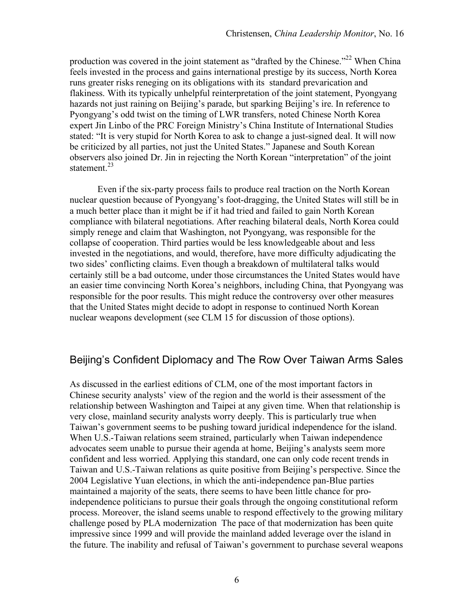production was covered in the joint statement as "drafted by the Chinese."<sup>22</sup> When China feels invested in the process and gains international prestige by its success, North Korea runs greater risks reneging on its obligations with its standard prevarication and flakiness. With its typically unhelpful reinterpretation of the joint statement, Pyongyang hazards not just raining on Beijing's parade, but sparking Beijing's ire. In reference to Pyongyang's odd twist on the timing of LWR transfers, noted Chinese North Korea expert Jin Linbo of the PRC Foreign Ministry's China Institute of International Studies stated: "It is very stupid for North Korea to ask to change a just-signed deal. It will now be criticized by all parties, not just the United States." Japanese and South Korean observers also joined Dr. Jin in rejecting the North Korean "interpretation" of the joint statement. 23

Even if the six-party process fails to produce real traction on the North Korean nuclear question because of Pyongyang's foot-dragging, the United States will still be in a much better place than it might be if it had tried and failed to gain North Korean compliance with bilateral negotiations. After reaching bilateral deals, North Korea could simply renege and claim that Washington, not Pyongyang, was responsible for the collapse of cooperation. Third parties would be less knowledgeable about and less invested in the negotiations, and would, therefore, have more difficulty adjudicating the two sides' conflicting claims. Even though a breakdown of multilateral talks would certainly still be a bad outcome, under those circumstances the United States would have an easier time convincing North Korea's neighbors, including China, that Pyongyang was responsible for the poor results. This might reduce the controversy over other measures that the United States might decide to adopt in response to continued North Korean nuclear weapons development (see CLM 15 for discussion of those options).

### Beijing's Confident Diplomacy and The Row Over Taiwan Arms Sales

As discussed in the earliest editions of CLM, one of the most important factors in Chinese security analysts' view of the region and the world is their assessment of the relationship between Washington and Taipei at any given time. When that relationship is very close, mainland security analysts worry deeply. This is particularly true when Taiwan's government seems to be pushing toward juridical independence for the island. When U.S.-Taiwan relations seem strained, particularly when Taiwan independence advocates seem unable to pursue their agenda at home, Beijing's analysts seem more confident and less worried. Applying this standard, one can only code recent trends in Taiwan and U.S.-Taiwan relations as quite positive from Beijing's perspective. Since the 2004 Legislative Yuan elections, in which the anti-independence pan-Blue parties maintained a majority of the seats, there seems to have been little chance for proindependence politicians to pursue their goals through the ongoing constitutional reform process. Moreover, the island seems unable to respond effectively to the growing military challenge posed by PLA modernization The pace of that modernization has been quite impressive since 1999 and will provide the mainland added leverage over the island in the future. The inability and refusal of Taiwan's government to purchase several weapons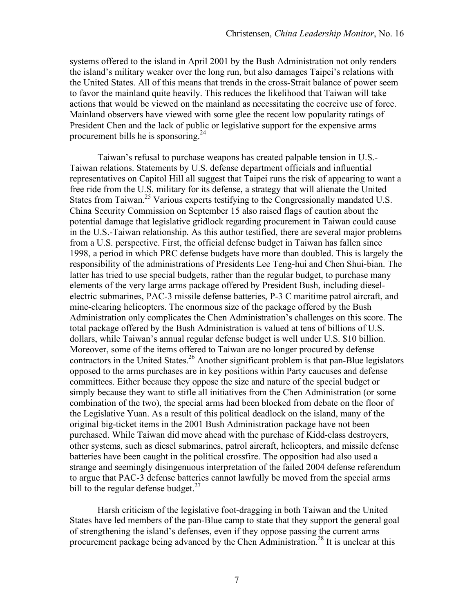systems offered to the island in April 2001 by the Bush Administration not only renders the island's military weaker over the long run, but also damages Taipei's relations with the United States. All of this means that trends in the cross-Strait balance of power seem to favor the mainland quite heavily. This reduces the likelihood that Taiwan will take actions that would be viewed on the mainland as necessitating the coercive use of force. Mainland observers have viewed with some glee the recent low popularity ratings of President Chen and the lack of public or legislative support for the expensive arms procurement bills he is sponsoring.<sup>24</sup>

Taiwan's refusal to purchase weapons has created palpable tension in U.S.- Taiwan relations. Statements by U.S. defense department officials and influential representatives on Capitol Hill all suggest that Taipei runs the risk of appearing to want a free ride from the U.S. military for its defense, a strategy that will alienate the United States from Taiwan.<sup>25</sup> Various experts testifying to the Congressionally mandated U.S. China Security Commission on September 15 also raised flags of caution about the potential damage that legislative gridlock regarding procurement in Taiwan could cause in the U.S.-Taiwan relationship. As this author testified, there are several major problems from a U.S. perspective. First, the official defense budget in Taiwan has fallen since 1998, a period in which PRC defense budgets have more than doubled. This is largely the responsibility of the administrations of Presidents Lee Teng-hui and Chen Shui-bian. The latter has tried to use special budgets, rather than the regular budget, to purchase many elements of the very large arms package offered by President Bush, including dieselelectric submarines, PAC-3 missile defense batteries, P-3 C maritime patrol aircraft, and mine-clearing helicopters. The enormous size of the package offered by the Bush Administration only complicates the Chen Administration's challenges on this score. The total package offered by the Bush Administration is valued at tens of billions of U.S. dollars, while Taiwan's annual regular defense budget is well under U.S. \$10 billion. Moreover, some of the items offered to Taiwan are no longer procured by defense contractors in the United States.<sup>26</sup> Another significant problem is that pan-Blue legislators opposed to the arms purchases are in key positions within Party caucuses and defense committees. Either because they oppose the size and nature of the special budget or simply because they want to stifle all initiatives from the Chen Administration (or some combination of the two), the special arms had been blocked from debate on the floor of the Legislative Yuan. As a result of this political deadlock on the island, many of the original big-ticket items in the 2001 Bush Administration package have not been purchased. While Taiwan did move ahead with the purchase of Kidd-class destroyers, other systems, such as diesel submarines, patrol aircraft, helicopters, and missile defense batteries have been caught in the political crossfire. The opposition had also used a strange and seemingly disingenuous interpretation of the failed 2004 defense referendum to argue that PAC-3 defense batteries cannot lawfully be moved from the special arms bill to the regular defense budget. $27$ 

Harsh criticism of the legislative foot-dragging in both Taiwan and the United States have led members of the pan-Blue camp to state that they support the general goal of strengthening the island's defenses, even if they oppose passing the current arms procurement package being advanced by the Chen Administration.<sup>28</sup> It is unclear at this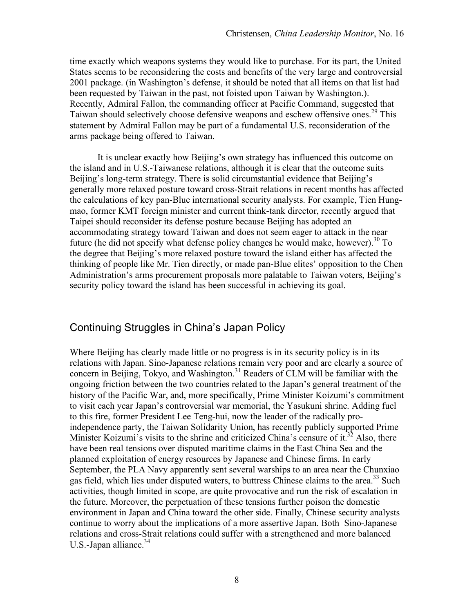time exactly which weapons systems they would like to purchase. For its part, the United States seems to be reconsidering the costs and benefits of the very large and controversial 2001 package. (in Washington's defense, it should be noted that all items on that list had been requested by Taiwan in the past, not foisted upon Taiwan by Washington.). Recently, Admiral Fallon, the commanding officer at Pacific Command, suggested that Taiwan should selectively choose defensive weapons and eschew offensive ones.<sup>29</sup> This statement by Admiral Fallon may be part of a fundamental U.S. reconsideration of the arms package being offered to Taiwan.

It is unclear exactly how Beijing's own strategy has influenced this outcome on the island and in U.S.-Taiwanese relations, although it is clear that the outcome suits Beijing's long-term strategy. There is solid circumstantial evidence that Beijing's generally more relaxed posture toward cross-Strait relations in recent months has affected the calculations of key pan-Blue international security analysts. For example, Tien Hungmao, former KMT foreign minister and current think-tank director, recently argued that Taipei should reconsider its defense posture because Beijing has adopted an accommodating strategy toward Taiwan and does not seem eager to attack in the near future (he did not specify what defense policy changes he would make, however). <sup>30</sup> To the degree that Beijing's more relaxed posture toward the island either has affected the thinking of people like Mr. Tien directly, or made pan-Blue elites' opposition to the Chen Administration's arms procurement proposals more palatable to Taiwan voters, Beijing's security policy toward the island has been successful in achieving its goal.

#### Continuing Struggles in China's Japan Policy

Where Beijing has clearly made little or no progress is in its security policy is in its relations with Japan. Sino-Japanese relations remain very poor and are clearly a source of concern in Beijing, Tokyo, and Washington.<sup>31</sup> Readers of CLM will be familiar with the ongoing friction between the two countries related to the Japan's general treatment of the history of the Pacific War, and, more specifically, Prime Minister Koizumi's commitment to visit each year Japan's controversial war memorial, the Yasukuni shrine. Adding fuel to this fire, former President Lee Teng-hui, now the leader of the radically proindependence party, the Taiwan Solidarity Union, has recently publicly supported Prime Minister Koizumi's visits to the shrine and criticized China's censure of it.<sup>32</sup> Also, there have been real tensions over disputed maritime claims in the East China Sea and the planned exploitation of energy resources by Japanese and Chinese firms. In early September, the PLA Navy apparently sent several warships to an area near the Chunxiao gas field, which lies under disputed waters, to buttress Chinese claims to the area. <sup>33</sup> Such activities, though limited in scope, are quite provocative and run the risk of escalation in the future. Moreover, the perpetuation of these tensions further poison the domestic environment in Japan and China toward the other side. Finally, Chinese security analysts continue to worry about the implications of a more assertive Japan. Both Sino-Japanese relations and cross-Strait relations could suffer with a strengthened and more balanced U.S.-Japan alliance.<sup>34</sup>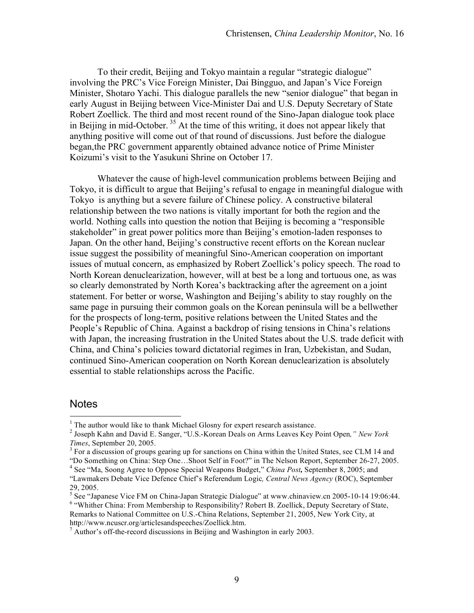To their credit, Beijing and Tokyo maintain a regular "strategic dialogue" involving the PRC's Vice Foreign Minister, Dai Bingguo, and Japan's Vice Foreign Minister, Shotaro Yachi. This dialogue parallels the new "senior dialogue" that began in early August in Beijing between Vice-Minister Dai and U.S. Deputy Secretary of State Robert Zoellick. The third and most recent round of the Sino-Japan dialogue took place in Beijing in mid-October. <sup>35</sup> At the time of this writing, it does not appear likely that anything positive will come out of that round of discussions. Just before the dialogue began,the PRC government apparently obtained advance notice of Prime Minister Koizumi's visit to the Yasukuni Shrine on October 17.

Whatever the cause of high-level communication problems between Beijing and Tokyo, it is difficult to argue that Beijing's refusal to engage in meaningful dialogue with Tokyo is anything but a severe failure of Chinese policy. A constructive bilateral relationship between the two nations is vitally important for both the region and the world. Nothing calls into question the notion that Beijing is becoming a "responsible stakeholder" in great power politics more than Beijing's emotion-laden responses to Japan. On the other hand, Beijing's constructive recent efforts on the Korean nuclear issue suggest the possibility of meaningful Sino-American cooperation on important issues of mutual concern, as emphasized by Robert Zoellick's policy speech. The road to North Korean denuclearization, however, will at best be a long and tortuous one, as was so clearly demonstrated by North Korea's backtracking after the agreement on a joint statement. For better or worse, Washington and Beijing's ability to stay roughly on the same page in pursuing their common goals on the Korean peninsula will be a bellwether for the prospects of long-term, positive relations between the United States and the People's Republic of China. Against a backdrop of rising tensions in China's relations with Japan, the increasing frustration in the United States about the U.S. trade deficit with China, and China's policies toward dictatorial regimes in Iran, Uzbekistan, and Sudan, continued Sino-American cooperation on North Korean denuclearization is absolutely essential to stable relationships across the Pacific.

#### **Notes**

<sup>4</sup> See "Ma, Soong Agree to Oppose Special Weapons Budget," *China Post*, September 8, 2005; and

<sup>1</sup> The author would like to thank Michael Glosny for expert research assistance. <sup>2</sup> Joseph Kahn and David E. Sanger, "U.S.-Korean Deals on Arms Leaves Key Point Open*," New York*

*Times*, September 20, 2005.<br><sup>3</sup> For a discussion of groups gearing up for sanctions on China within the United States, see CLM 14 and <br>"Do Something on China: Step One...Shoot Self in Foot?" in The Nelson Report, Septembe

<sup>&</sup>quot;Lawmakers Debate Vice Defence Chief's Referendum Logic*, Central News Agency* (ROC), September

<sup>&</sup>lt;sup>5</sup> See "Japanese Vice FM on China-Japan Strategic Dialogue" at www.chinaview.cn 2005-10-14 19:06:44.<br><sup>6</sup> "Whither China: From Membership to Responsibility? Robert B. Zoellick, Deputy Secretary of State, Remarks to National Committee on U.S.-China Relations, September 21, 2005, New York City, at http://www.ncuscr.org/articlesandspeeches/Zoellick.htm.<br><sup>7</sup> Author's off-the-record discussions in Beijing and Washington in early 2003.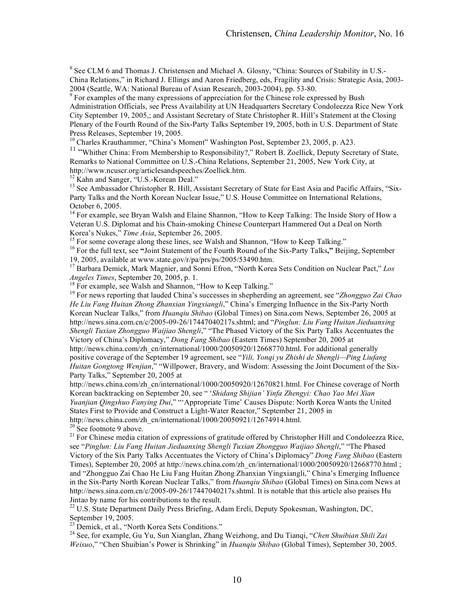<sup>8</sup> See CLM 6 and Thomas J. Christensen and Michael A. Glosny, "China: Sources of Stability in U.S.- China Relations," in Richard J. Ellings and Aaron Friedberg, eds, Fragility and Crisis: Strategic Asia, 2003-

<sup>2004</sup> (Seattle, WA: National Bureau of Asian Research, 2003-2004), pp. 53-80. <sup>9</sup> For examples of the many expressions of appreciation for the Chinese role expressed by Bush Administration Officials, see Press Availability at UN Headquarters Secretary Condoleezza Rice New York City September 19, 2005,; and Assistant Secretary of State Christopher R. Hill's Statement at the Closing Plenary of the Fourth Round of the Six-Party Talks September 19, 2005, both in U.S. Department of State

Press Releases, September 19, 2005.<br><sup>10</sup> Charles Krauthammer, "China's Moment" Washington Post, September 23, 2005, p. A23.<br><sup>11</sup> "Whither China: From Membership to Responsibility?," Robert B. Zoellick, Deputy Secretary of Remarks to National Committee on U.S.-China Relations, September 21, 2005, New York City, at http://www.ncuscr.org/articlesandspeeches/Zoellick.htm.<br><sup>12</sup> Kahn and Sanger, "U.S.-Korean Deal." 13 See Ambassador Christopher R. Hill, Assistant Secretary of State for East Asia and Pacific Affairs, "Six-

Party Talks and the North Korean Nuclear Issue," U.S. House Committee on International Relations,

October 6, 2005.<br><sup>14</sup> For example, see Bryan Walsh and Elaine Shannon, "How to Keep Talking: The Inside Story of How a Veteran U.S. Diplomat and his Chain-smoking Chinese Counterpart Hammered Out a Deal on North Korea's Nukes," *Time Asia*, September 26, 2005.<br><sup>15</sup> For some coverage along these lines, see Walsh and Shannon, "How to Keep Talking."<br><sup>16</sup> For the full text, see "Joint Statement of the Fourth Round of the Six-Party Tal

19, 2005, available at www.state.gov/r/pa/prs/ps/2005/53490.htm.<br><sup>17</sup> Barbara Demick, Mark Magnier, and Sonni Efron, "North Korea Sets Condition on Nuclear Pact," *Los Angeles Times*, September 20, 2005, p. 1.

<sup>18</sup> For example, see Walsh and Shannon, "How to Keep Talking."<br><sup>19</sup> For news reporting that lauded China's successes in shepherding an agreement, see "Zhongguo Zai Chao" *He Liu Fang Huitan Zhong Zhanxian Yingxiangli*," China's Emerging Influence in the Six-Party North Korean Nuclear Talks," from *Huanqiu Shibao* (Global Times) on Sina.com News, September 26, 2005 at http://news.sina.com.cn/c/2005-09-26/17447040217s.shtml; and "*Pinglun: Liu Fang Huitan Jieduanxing Shengli Tuxian Zhongguo Waijiao Shengli*," "The Phased Victory of the Six Party Talks Accentuates the Victory of China's Diplomacy," *Dong Fang Shibao* (Eastern Times) September 20, 2005 at http://news.china.com/zh\_cn/international/1000/20050920/12668770.html. For additional generally positive coverage of the September 19 agreement, see "*Yili, Yonqi yu Zhishi de Shengli—Ping Liufang Huitan Gongtong Wenjian*," "Willpower, Bravery, and Wisdom: Assessing the Joint Document of the Six-Party Talks," September 20, 2005 at

http://news.china.com/zh\_cn/international/1000/20050920/12670821.html. For Chinese coverage of North Korean backtracking on September 20, see " '*Shidang Shijian' Yinfa Zhengyi: Chao Yao Mei Xian Yuanjian Qingshuo Fanying Dui*," "'Appropriate Time' Causes Dispute: North Korea Wants the United States First to Provide and Construct a Light-Water Reactor," September 21, 2005 in http://news.china.com/zh\_cn/international/1000/20050921/12674914.html.<br><sup>20</sup> See footnote 9 above.<br><sup>21</sup> For Chinese media citation of expressions of gratitude offered by Christopher Hill and Condoleezza Rice,

see "*Pinglun: Liu Fang Huitan Jieduanxing Shengli Tuxian Zhongguo Waijiao Shengli*," "The Phased Victory of the Six Party Talks Accentuates the Victory of China's Diplomacy" *Dong Fang Shibao* (Eastern Times), September 20, 2005 at http://news.china.com/zh\_cn/international/1000/20050920/12668770.html ; and "Zhongguo Zai Chao He Liu Fang Huitan Zhong Zhanxian Yingxiangli," China's Emerging Influence in the Six-Party North Korean Nuclear Talks," from *Huanqiu Shibao* (Global Times) on Sina.com News at http://news.sina.com.cn/c/2005-09-26/17447040217s.shtml. It is notable that this article also praises Hu

Jintao by name for his contributions to the result.<br><sup>22</sup> U.S. State Department Daily Press Briefing, Adam Ereli, Deputy Spokesman, Washington, DC, September 19, 2005.

<sup>23</sup> Demick, et al., "North Korea Sets Conditions." <sup>24</sup> See, for example, Gu Yu, Sun Xianglan, Zhang Weizhong, and Du Tianqi, "*Chen Shuibian Shili Zai Weisuo*," "Chen Shuibian's Power is Shrinking" in *Huanqiu Shibao* (Global Times), September 30, 2005.